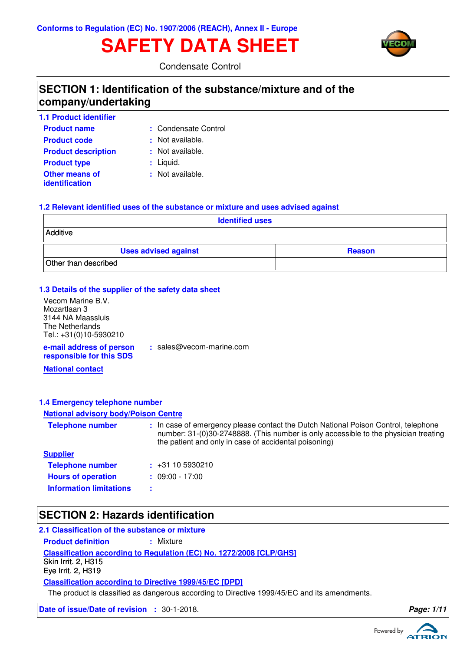# **SAFETY DATA SHEET**



Condensate Control

### **SECTION 1: Identification of the substance/mixture and of the company/undertaking**

| <b>1.1 Product identifier</b>           |                      |
|-----------------------------------------|----------------------|
| <b>Product name</b>                     | : Condensate Control |
| <b>Product code</b>                     | : Not available.     |
| <b>Product description</b>              | : Not available.     |
| <b>Product type</b>                     | $:$ Liquid.          |
| <b>Other means of</b><br>identification | : Not available.     |

#### **1.2 Relevant identified uses of the substance or mixture and uses advised against**

| <b>Identified uses</b>      |               |  |
|-----------------------------|---------------|--|
| Additive                    |               |  |
| <b>Uses advised against</b> | <b>Reason</b> |  |
| Other than described        |               |  |

#### **1.3 Details of the supplier of the safety data sheet**

**e-mail address of person** Vecom Marine B.V. Mozartlaan 3 3144 NA Maassluis The Netherlands Tel.: +31(0)10-5930210

**:** sales@vecom-marine.com

**responsible for this SDS**

**National contact**

#### **1.4 Emergency telephone number**

#### **National advisory body/Poison Centre**

| <b>Telephone number</b>        | : In case of emergency please contact the Dutch National Poison Control, telephone<br>number: 31-(0)30-2748888. (This number is only accessible to the physician treating<br>the patient and only in case of accidental poisoning) |
|--------------------------------|------------------------------------------------------------------------------------------------------------------------------------------------------------------------------------------------------------------------------------|
| <b>Supplier</b>                |                                                                                                                                                                                                                                    |
| <b>Telephone number</b>        | $\div$ +31 10 5930210                                                                                                                                                                                                              |
| <b>Hours of operation</b>      | $: 09:00 - 17:00$                                                                                                                                                                                                                  |
| <b>Information limitations</b> |                                                                                                                                                                                                                                    |

### **SECTION 2: Hazards identification**

#### **2.1 Classification of the substance or mixture**

**Classification according to Regulation (EC) No. 1272/2008 [CLP/GHS] Product definition : Mixture Classification according to Directive 1999/45/EC [DPD]** Skin Irrit. 2, H315 Eye Irrit. 2, H319

The product is classified as dangerous according to Directive 1999/45/EC and its amendments.

**Date of issue/Date of revision :** 30-1-2018. **Page: 1/1 Page: 1/1** 

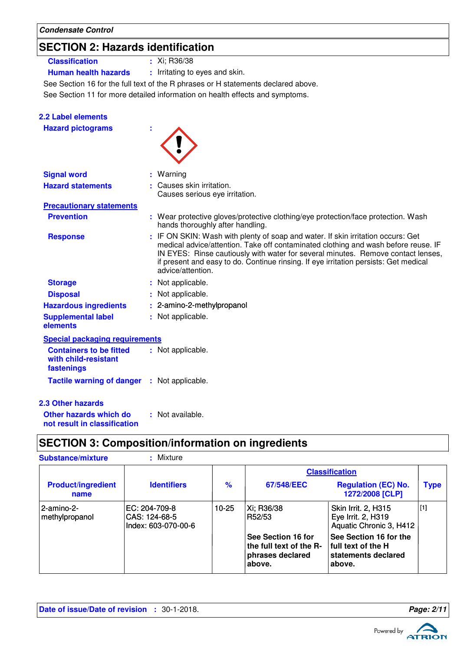## **SECTION 2: Hazards identification**

### **Classification :** Xi; R36/38

**2.2 Label elements**

**Human health hazards :** Irritating to eyes and skin.

See Section 16 for the full text of the R phrases or H statements declared above.

See Section 11 for more detailed information on health effects and symptoms.

| <b>Hazard pictograms</b>                                             | ÷                                                                                                                                                                                                                                                                                                                                                                       |
|----------------------------------------------------------------------|-------------------------------------------------------------------------------------------------------------------------------------------------------------------------------------------------------------------------------------------------------------------------------------------------------------------------------------------------------------------------|
| <b>Signal word</b>                                                   | Warning                                                                                                                                                                                                                                                                                                                                                                 |
| <b>Hazard statements</b>                                             | Causes skin irritation.<br>Causes serious eye irritation.                                                                                                                                                                                                                                                                                                               |
| <b>Precautionary statements</b>                                      |                                                                                                                                                                                                                                                                                                                                                                         |
| <b>Prevention</b>                                                    | : Wear protective gloves/protective clothing/eye protection/face protection. Wash<br>hands thoroughly after handling.                                                                                                                                                                                                                                                   |
| <b>Response</b>                                                      | : IF ON SKIN: Wash with plenty of soap and water. If skin irritation occurs: Get<br>medical advice/attention. Take off contaminated clothing and wash before reuse. IF<br>IN EYES: Rinse cautiously with water for several minutes. Remove contact lenses,<br>if present and easy to do. Continue rinsing. If eye irritation persists: Get medical<br>advice/attention. |
| <b>Storage</b>                                                       | Not applicable.                                                                                                                                                                                                                                                                                                                                                         |
| <b>Disposal</b>                                                      | Not applicable.                                                                                                                                                                                                                                                                                                                                                         |
| <b>Hazardous ingredients</b>                                         | 2-amino-2-methylpropanol                                                                                                                                                                                                                                                                                                                                                |
| <b>Supplemental label</b><br>elements                                | : Not applicable.                                                                                                                                                                                                                                                                                                                                                       |
| <b>Special packaging requirements</b>                                |                                                                                                                                                                                                                                                                                                                                                                         |
| <b>Containers to be fitted</b><br>with child-resistant<br>fastenings | : Not applicable.                                                                                                                                                                                                                                                                                                                                                       |
| <b>Tactile warning of danger</b>                                     | : Not applicable.                                                                                                                                                                                                                                                                                                                                                       |
| <b>2.3 Other hazards</b>                                             |                                                                                                                                                                                                                                                                                                                                                                         |
| Other hazards which do                                               | : Not available.                                                                                                                                                                                                                                                                                                                                                        |

**not result in classification**

## **SECTION 3: Composition/information on ingredients**

| <b>Substance/mixture</b>          | : Mixture                                             |       |                                                                             |                                                                               |             |
|-----------------------------------|-------------------------------------------------------|-------|-----------------------------------------------------------------------------|-------------------------------------------------------------------------------|-------------|
|                                   |                                                       |       |                                                                             | <b>Classification</b>                                                         |             |
| <b>Product/ingredient</b><br>name | <b>Identifiers</b>                                    | $\%$  | 67/548/EEC                                                                  | <b>Regulation (EC) No.</b><br>1272/2008 [CLP]                                 | <b>Type</b> |
| l 2-amino-2-<br>methylpropanol    | EC: 204-709-8<br>CAS: 124-68-5<br>Index: 603-070-00-6 | 10-25 | Xi; R36/38<br>R52/53                                                        | Skin Irrit. 2, H315<br>Eye Irrit. 2, H319<br>Aquatic Chronic 3, H412          | [1]         |
|                                   |                                                       |       | See Section 16 for<br>the full text of the R-<br>phrases declared<br>above. | See Section 16 for the<br>full text of the H<br>statements declared<br>above. |             |

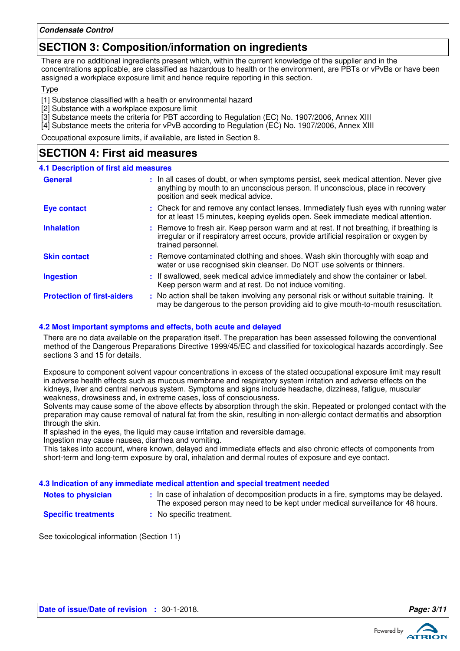### **SECTION 3: Composition/information on ingredients**

There are no additional ingredients present which, within the current knowledge of the supplier and in the concentrations applicable, are classified as hazardous to health or the environment, are PBTs or vPvBs or have been assigned a workplace exposure limit and hence require reporting in this section.

**T**<sub>vpe</sub>

[1] Substance classified with a health or environmental hazard

[2] Substance with a workplace exposure limit

[3] Substance meets the criteria for PBT according to Regulation (EC) No. 1907/2006, Annex XIII

[4] Substance meets the criteria for vPvB according to Regulation (EC) No. 1907/2006, Annex XIII

Occupational exposure limits, if available, are listed in Section 8.

### **SECTION 4: First aid measures**

| <b>4.1 Description of first aid measures</b> |                                                                                                                                                                                                             |
|----------------------------------------------|-------------------------------------------------------------------------------------------------------------------------------------------------------------------------------------------------------------|
| <b>General</b>                               | : In all cases of doubt, or when symptoms persist, seek medical attention. Never give<br>anything by mouth to an unconscious person. If unconscious, place in recovery<br>position and seek medical advice. |
| <b>Eye contact</b>                           | : Check for and remove any contact lenses. Immediately flush eyes with running water<br>for at least 15 minutes, keeping eyelids open. Seek immediate medical attention.                                    |
| <b>Inhalation</b>                            | : Remove to fresh air. Keep person warm and at rest. If not breathing, if breathing is<br>irregular or if respiratory arrest occurs, provide artificial respiration or oxygen by<br>trained personnel.      |
| <b>Skin contact</b>                          | : Remove contaminated clothing and shoes. Wash skin thoroughly with soap and<br>water or use recognised skin cleanser. Do NOT use solvents or thinners.                                                     |
| <b>Ingestion</b>                             | : If swallowed, seek medical advice immediately and show the container or label.<br>Keep person warm and at rest. Do not induce vomiting.                                                                   |
| <b>Protection of first-aiders</b>            | : No action shall be taken involving any personal risk or without suitable training. It<br>may be dangerous to the person providing aid to give mouth-to-mouth resuscitation.                               |

#### **4.2 Most important symptoms and effects, both acute and delayed**

There are no data available on the preparation itself. The preparation has been assessed following the conventional method of the Dangerous Preparations Directive 1999/45/EC and classified for toxicological hazards accordingly. See sections 3 and 15 for details.

Exposure to component solvent vapour concentrations in excess of the stated occupational exposure limit may result in adverse health effects such as mucous membrane and respiratory system irritation and adverse effects on the kidneys, liver and central nervous system. Symptoms and signs include headache, dizziness, fatigue, muscular weakness, drowsiness and, in extreme cases, loss of consciousness.

Solvents may cause some of the above effects by absorption through the skin. Repeated or prolonged contact with the preparation may cause removal of natural fat from the skin, resulting in non-allergic contact dermatitis and absorption through the skin.

If splashed in the eyes, the liquid may cause irritation and reversible damage.

Ingestion may cause nausea, diarrhea and vomiting.

This takes into account, where known, delayed and immediate effects and also chronic effects of components from short-term and long-term exposure by oral, inhalation and dermal routes of exposure and eye contact.

#### **4.3 Indication of any immediate medical attention and special treatment needed**

**Notes to physician In case of inhalation of decomposition products in a fire, symptoms may be delayed.** The exposed person may need to be kept under medical surveillance for 48 hours.

- **Specific treatments**
- **:** No specific treatment.

See toxicological information (Section 11)

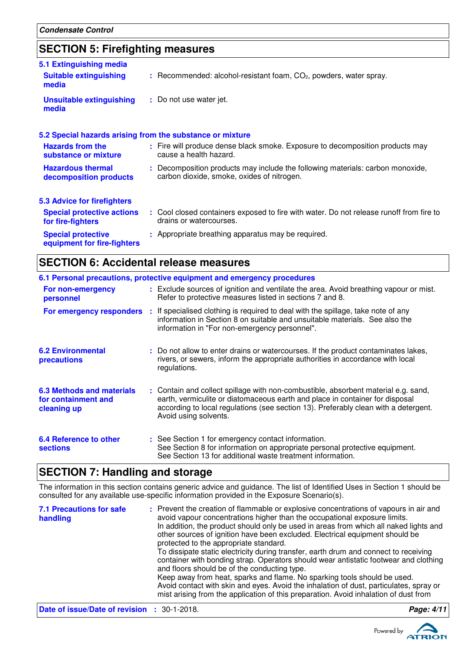## **SECTION 5: Firefighting measures**

| 5.1 Extinguishing media<br><b>Suitable extinguishing</b>  | $:$ Recommended: alcohol-resistant foam, $CO2$ , powders, water spray.                                                       |
|-----------------------------------------------------------|------------------------------------------------------------------------------------------------------------------------------|
| media                                                     |                                                                                                                              |
| <b>Unsuitable extinguishing</b><br>media                  | : Do not use water jet.                                                                                                      |
| 5.2 Special hazards arising from the substance or mixture |                                                                                                                              |
| <b>Hazards from the</b><br>substance or mixture           | : Fire will produce dense black smoke. Exposure to decomposition products may<br>cause a health hazard.                      |
| <b>Hazardous thermal</b><br>decomposition products        | : Decomposition products may include the following materials: carbon monoxide,<br>carbon dioxide, smoke, oxides of nitrogen. |
| 5.3 Advice for firefighters                               |                                                                                                                              |
| <b>Special protective actions</b><br>for fire-fighters    | : Cool closed containers exposed to fire with water. Do not release runoff from fire to<br>drains or watercourses.           |
| <b>Special protective</b><br>equipment for fire-fighters  | : Appropriate breathing apparatus may be required.                                                                           |

### **SECTION 6: Accidental release measures**

|                                                                        | 6.1 Personal precautions, protective equipment and emergency procedures                                                                                                                                                                                                            |
|------------------------------------------------------------------------|------------------------------------------------------------------------------------------------------------------------------------------------------------------------------------------------------------------------------------------------------------------------------------|
| For non-emergency<br>personnel                                         | : Exclude sources of ignition and ventilate the area. Avoid breathing vapour or mist.<br>Refer to protective measures listed in sections 7 and 8.                                                                                                                                  |
|                                                                        | For emergency responders : If specialised clothing is required to deal with the spillage, take note of any<br>information in Section 8 on suitable and unsuitable materials. See also the<br>information in "For non-emergency personnel".                                         |
| <b>6.2 Environmental</b><br>precautions                                | : Do not allow to enter drains or watercourses. If the product contaminates lakes,<br>rivers, or sewers, inform the appropriate authorities in accordance with local<br>regulations.                                                                                               |
| <b>6.3 Methods and materials</b><br>for containment and<br>cleaning up | : Contain and collect spillage with non-combustible, absorbent material e.g. sand,<br>earth, vermiculite or diatomaceous earth and place in container for disposal<br>according to local regulations (see section 13). Preferably clean with a detergent.<br>Avoid using solvents. |
| 6.4 Reference to other<br><b>sections</b>                              | : See Section 1 for emergency contact information.<br>See Section 8 for information on appropriate personal protective equipment.<br>See Section 13 for additional waste treatment information.                                                                                    |

### **SECTION 7: Handling and storage**

The information in this section contains generic advice and guidance. The list of Identified Uses in Section 1 should be consulted for any available use-specific information provided in the Exposure Scenario(s).

| <b>7.1 Precautions for safe</b><br>handling        | : Prevent the creation of flammable or explosive concentrations of vapours in air and<br>avoid vapour concentrations higher than the occupational exposure limits.<br>In addition, the product should only be used in areas from which all naked lights and<br>other sources of ignition have been excluded. Electrical equipment should be<br>protected to the appropriate standard.<br>To dissipate static electricity during transfer, earth drum and connect to receiving<br>container with bonding strap. Operators should wear antistatic footwear and clothing<br>and floors should be of the conducting type.<br>Keep away from heat, sparks and flame. No sparking tools should be used.<br>Avoid contact with skin and eyes. Avoid the inhalation of dust, particulates, spray or<br>mist arising from the application of this preparation. Avoid inhalation of dust from |            |
|----------------------------------------------------|-------------------------------------------------------------------------------------------------------------------------------------------------------------------------------------------------------------------------------------------------------------------------------------------------------------------------------------------------------------------------------------------------------------------------------------------------------------------------------------------------------------------------------------------------------------------------------------------------------------------------------------------------------------------------------------------------------------------------------------------------------------------------------------------------------------------------------------------------------------------------------------|------------|
| <b>Date of issue/Date of revision : 30-1-2018.</b> |                                                                                                                                                                                                                                                                                                                                                                                                                                                                                                                                                                                                                                                                                                                                                                                                                                                                                     | Page: 4/11 |

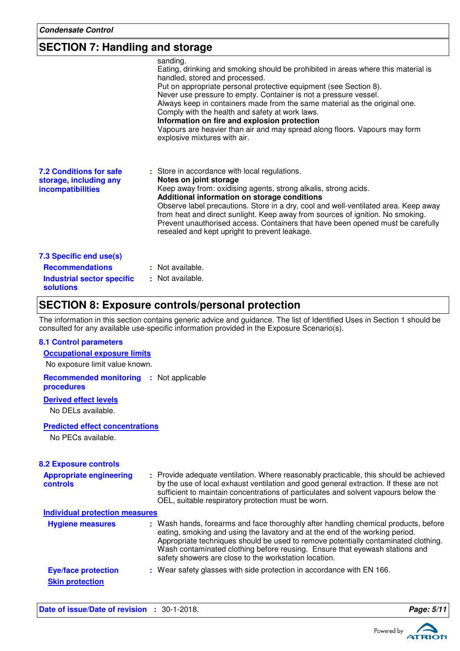### **SECTION 7: Handling and storage**

| sanding.<br>Eating, drinking and smoking should be prohibited in areas where this material is<br>handled, stored and processed.<br>Put on appropriate personal protective equipment (see Section 8).<br>Never use pressure to empty. Container is not a pressure vessel.<br>Always keep in containers made from the same material as the original one.<br>Comply with the health and safety at work laws.<br>Information on fire and explosion protection<br>Vapours are heavier than air and may spread along floors. Vapours may form<br>explosive mixtures with air. |
|-------------------------------------------------------------------------------------------------------------------------------------------------------------------------------------------------------------------------------------------------------------------------------------------------------------------------------------------------------------------------------------------------------------------------------------------------------------------------------------------------------------------------------------------------------------------------|
| : Store in accordance with local regulations.<br>Notes on joint storage<br>Keep away from: oxidising agents, strong alkalis, strong acids.<br>Additional information on storage conditions<br>Observe label precautions. Store in a dry, cool and well-ventilated area. Keep away<br>from heat and direct sunlight. Keep away from sources of ignition. No smoking.<br>Prevent unauthorised access. Containers that have been opened must be carefully<br>resealed and kept upright to prevent leakage.                                                                 |
| : Not available.<br>: Not available.                                                                                                                                                                                                                                                                                                                                                                                                                                                                                                                                    |
|                                                                                                                                                                                                                                                                                                                                                                                                                                                                                                                                                                         |

### **SECTION 8: Exposure controls/personal protection**

The information in this section contains generic advice and guidance. The list of Identified Uses in Section 1 should be consulted for any available use-specific information provided in the Exposure Scenario(s).

#### **8.1 Control parameters**

| <b>Occupational exposure limits</b> |  |
|-------------------------------------|--|
| No exposure limit value known.      |  |

**Recommended monitoring :** Not applicable **procedures**

#### **Derived effect levels**

No DELs available.

#### **Predicted effect concentrations**

No PECs available.

| <b>8.2 Exposure controls</b>                         |                                                                                                                                                                                                                                                                                                                                                                                                   |
|------------------------------------------------------|---------------------------------------------------------------------------------------------------------------------------------------------------------------------------------------------------------------------------------------------------------------------------------------------------------------------------------------------------------------------------------------------------|
| <b>Appropriate engineering</b><br>controls           | : Provide adequate ventilation. Where reasonably practicable, this should be achieved<br>by the use of local exhaust ventilation and good general extraction. If these are not<br>sufficient to maintain concentrations of particulates and solvent vapours below the<br>OEL, suitable respiratory protection must be worn.                                                                       |
| <b>Individual protection measures</b>                |                                                                                                                                                                                                                                                                                                                                                                                                   |
| <b>Hygiene measures</b>                              | : Wash hands, forearms and face thoroughly after handling chemical products, before<br>eating, smoking and using the lavatory and at the end of the working period.<br>Appropriate techniques should be used to remove potentially contaminated clothing.<br>Wash contaminated clothing before reusing. Ensure that eyewash stations and<br>safety showers are close to the workstation location. |
| <b>Eye/face protection</b><br><b>Skin protection</b> | : Wear safety glasses with side protection in accordance with EN 166.                                                                                                                                                                                                                                                                                                                             |

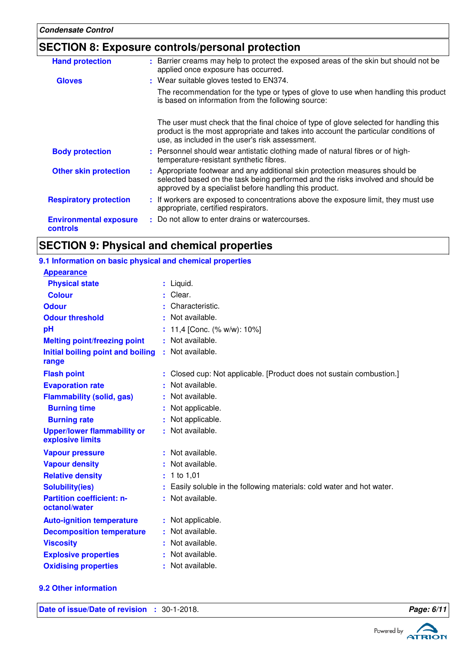### **SECTION 8: Exposure controls/personal protection**

| <b>Hand protection</b>                    | : Barrier creams may help to protect the exposed areas of the skin but should not be<br>applied once exposure has occurred.                                                                                                     |  |
|-------------------------------------------|---------------------------------------------------------------------------------------------------------------------------------------------------------------------------------------------------------------------------------|--|
| <b>Gloves</b>                             | : Wear suitable gloves tested to EN374.                                                                                                                                                                                         |  |
|                                           | The recommendation for the type or types of glove to use when handling this product<br>is based on information from the following source:                                                                                       |  |
|                                           | The user must check that the final choice of type of glove selected for handling this<br>product is the most appropriate and takes into account the particular conditions of<br>use, as included in the user's risk assessment. |  |
| <b>Body protection</b>                    | : Personnel should wear antistatic clothing made of natural fibres or of high-<br>temperature-resistant synthetic fibres.                                                                                                       |  |
| <b>Other skin protection</b>              | : Appropriate footwear and any additional skin protection measures should be<br>selected based on the task being performed and the risks involved and should be<br>approved by a specialist before handling this product.       |  |
| <b>Respiratory protection</b>             | : If workers are exposed to concentrations above the exposure limit, they must use<br>appropriate, certified respirators.                                                                                                       |  |
| <b>Environmental exposure</b><br>controls | : Do not allow to enter drains or watercourses.                                                                                                                                                                                 |  |
|                                           |                                                                                                                                                                                                                                 |  |

## **SECTION 9: Physical and chemical properties**

### **9.1 Information on basic physical and chemical properties**

| <b>Appearance</b>                                      |    |                                                                      |
|--------------------------------------------------------|----|----------------------------------------------------------------------|
| <b>Physical state</b>                                  |    | : Liquid.                                                            |
| <b>Colour</b>                                          | ٠. | Clear.                                                               |
| <b>Odour</b>                                           |    | Characteristic.                                                      |
| <b>Odour threshold</b>                                 |    | Not available.                                                       |
| pH                                                     |    | 11,4 [Conc. (% w/w): 10%]                                            |
| <b>Melting point/freezing point</b>                    |    | Not available.                                                       |
| Initial boiling point and boiling<br>range             |    | : Not available.                                                     |
| <b>Flash point</b>                                     |    | Closed cup: Not applicable. [Product does not sustain combustion.]   |
| <b>Evaporation rate</b>                                |    | Not available.                                                       |
| <b>Flammability (solid, gas)</b>                       | ÷. | Not available.                                                       |
| <b>Burning time</b>                                    |    | Not applicable.                                                      |
| <b>Burning rate</b>                                    |    | Not applicable.                                                      |
| <b>Upper/lower flammability or</b><br>explosive limits |    | Not available.                                                       |
| <b>Vapour pressure</b>                                 |    | : Not available.                                                     |
| <b>Vapour density</b>                                  |    | Not available.                                                       |
| <b>Relative density</b>                                | ÷. | 1 to 1,01                                                            |
| <b>Solubility(ies)</b>                                 |    | Easily soluble in the following materials: cold water and hot water. |
| <b>Partition coefficient: n-</b><br>octanol/water      | ŧ. | Not available.                                                       |
| <b>Auto-ignition temperature</b>                       |    | Not applicable.                                                      |
| <b>Decomposition temperature</b>                       |    | Not available.                                                       |
| <b>Viscosity</b>                                       | ÷. | Not available.                                                       |
| <b>Explosive properties</b>                            |    | Not available.                                                       |
| <b>Oxidising properties</b>                            |    | Not available.                                                       |

#### **9.2 Other information**

**Date of issue/Date of revision :** 30-1-2018. **Page: 6/11** 



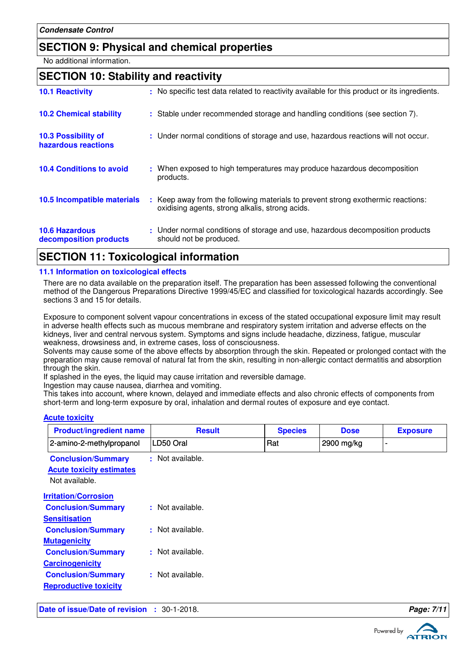### **SECTION 9: Physical and chemical properties**

No additional information.

### **SECTION 10: Stability and reactivity**

| <b>10.1 Reactivity</b>                            | : No specific test data related to reactivity available for this product or its ingredients.                                        |
|---------------------------------------------------|-------------------------------------------------------------------------------------------------------------------------------------|
| <b>10.2 Chemical stability</b>                    | : Stable under recommended storage and handling conditions (see section 7).                                                         |
| <b>10.3 Possibility of</b><br>hazardous reactions | : Under normal conditions of storage and use, hazardous reactions will not occur.                                                   |
| <b>10.4 Conditions to avoid</b>                   | : When exposed to high temperatures may produce hazardous decomposition<br>products.                                                |
| <b>10.5 Incompatible materials</b>                | : Keep away from the following materials to prevent strong exothermic reactions:<br>oxidising agents, strong alkalis, strong acids. |
| <b>10.6 Hazardous</b><br>decomposition products   | : Under normal conditions of storage and use, hazardous decomposition products<br>should not be produced.                           |

### **SECTION 11: Toxicological information**

#### **11.1 Information on toxicological effects**

There are no data available on the preparation itself. The preparation has been assessed following the conventional method of the Dangerous Preparations Directive 1999/45/EC and classified for toxicological hazards accordingly. See sections 3 and 15 for details.

Exposure to component solvent vapour concentrations in excess of the stated occupational exposure limit may result in adverse health effects such as mucous membrane and respiratory system irritation and adverse effects on the kidneys, liver and central nervous system. Symptoms and signs include headache, dizziness, fatigue, muscular weakness, drowsiness and, in extreme cases, loss of consciousness.

Solvents may cause some of the above effects by absorption through the skin. Repeated or prolonged contact with the preparation may cause removal of natural fat from the skin, resulting in non-allergic contact dermatitis and absorption through the skin.

If splashed in the eyes, the liquid may cause irritation and reversible damage.

Ingestion may cause nausea, diarrhea and vomiting.

This takes into account, where known, delayed and immediate effects and also chronic effects of components from short-term and long-term exposure by oral, inhalation and dermal routes of exposure and eye contact.

#### **Acute toxicity**

| <b>Product/ingredient name</b>                                                 | <b>Result</b>    | <b>Species</b> | <b>Dose</b> | <b>Exposure</b> |
|--------------------------------------------------------------------------------|------------------|----------------|-------------|-----------------|
| 2-amino-2-methylpropanol                                                       | LD50 Oral        | Rat            | 2900 mg/kg  |                 |
| <b>Conclusion/Summary</b><br><b>Acute toxicity estimates</b><br>Not available. | : Not available. |                |             |                 |
| <b>Irritation/Corrosion</b>                                                    |                  |                |             |                 |
| <b>Conclusion/Summary</b>                                                      | : Not available. |                |             |                 |
| <b>Sensitisation</b>                                                           |                  |                |             |                 |
| <b>Conclusion/Summary</b>                                                      | : Not available. |                |             |                 |
| <b>Mutagenicity</b>                                                            |                  |                |             |                 |
| <b>Conclusion/Summary</b>                                                      | : Not available. |                |             |                 |
| <b>Carcinogenicity</b>                                                         |                  |                |             |                 |
| <b>Conclusion/Summary</b>                                                      | : Not available. |                |             |                 |
| <b>Reproductive toxicity</b>                                                   |                  |                |             |                 |

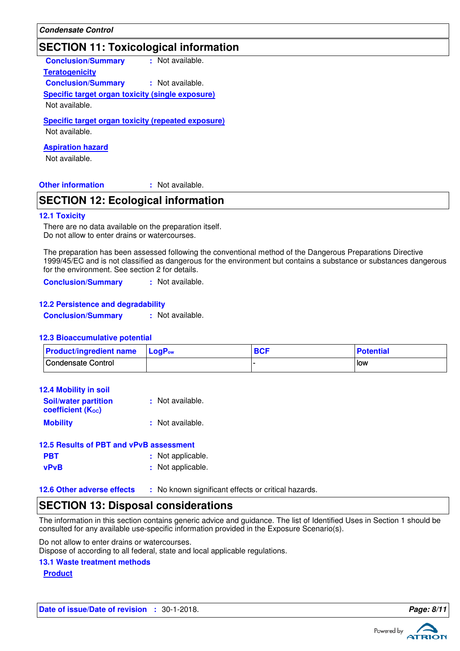### **SECTION 11: Toxicological information**

**Teratogenicity Conclusion/Summary :** Not available. **Conclusion/Summary :** Not available. **Specific target organ toxicity (single exposure)**

Not available.

#### **Specific target organ toxicity (repeated exposure)** Not available.

**Aspiration hazard**

Not available.

**Other information :** : Not available.

### **SECTION 12: Ecological information**

### **12.1 Toxicity**

There are no data available on the preparation itself. Do not allow to enter drains or watercourses.

The preparation has been assessed following the conventional method of the Dangerous Preparations Directive 1999/45/EC and is not classified as dangerous for the environment but contains a substance or substances dangerous for the environment. See section 2 for details.

**Conclusion/Summary :** Not available.

#### **12.2 Persistence and degradability**

**Conclusion/Summary :** Not available.

#### **12.3 Bioaccumulative potential**

| <b>Product/ingredient name</b> | <b>LoaP</b> <sub>ow</sub> | <b>BCF</b> | <b>Potential</b> |
|--------------------------------|---------------------------|------------|------------------|
| Condensate Control             |                           |            | l low            |

| <b>12.4 Mobility in soil</b>                     |                  |
|--------------------------------------------------|------------------|
| <b>Soil/water partition</b><br>coefficient (Koc) | : Not available. |
| <b>Mobility</b>                                  | : Not available. |

| 12.5 Results of PBT and vPvB assessment |                   |
|-----------------------------------------|-------------------|
| <b>PBT</b>                              | : Not applicable. |
| <b>vPvB</b>                             | : Not applicable. |

**12.6 Other adverse effects** : No known significant effects or critical hazards.

### **SECTION 13: Disposal considerations**

The information in this section contains generic advice and guidance. The list of Identified Uses in Section 1 should be consulted for any available use-specific information provided in the Exposure Scenario(s).

Do not allow to enter drains or watercourses.

Dispose of according to all federal, state and local applicable regulations.

#### **13.1 Waste treatment methods**

#### **Product**

**Date of issue/Date of revision :** 30-1-2018. **Page: 8/1 Page: 8/1** 

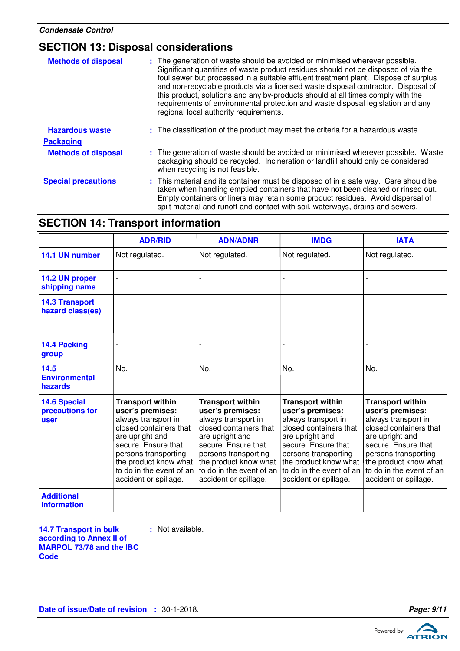## **SECTION 13: Disposal considerations**

| <b>Methods of disposal</b> | : The generation of waste should be avoided or minimised wherever possible.<br>Significant quantities of waste product residues should not be disposed of via the<br>foul sewer but processed in a suitable effluent treatment plant. Dispose of surplus<br>and non-recyclable products via a licensed waste disposal contractor. Disposal of<br>this product, solutions and any by-products should at all times comply with the<br>requirements of environmental protection and waste disposal legislation and any<br>regional local authority requirements. |
|----------------------------|---------------------------------------------------------------------------------------------------------------------------------------------------------------------------------------------------------------------------------------------------------------------------------------------------------------------------------------------------------------------------------------------------------------------------------------------------------------------------------------------------------------------------------------------------------------|
| <b>Hazardous waste</b>     | : The classification of the product may meet the criteria for a hazardous waste.                                                                                                                                                                                                                                                                                                                                                                                                                                                                              |
| <b>Packaging</b>           |                                                                                                                                                                                                                                                                                                                                                                                                                                                                                                                                                               |
| <b>Methods of disposal</b> | : The generation of waste should be avoided or minimised wherever possible. Waste<br>packaging should be recycled. Incineration or landfill should only be considered<br>when recycling is not feasible.                                                                                                                                                                                                                                                                                                                                                      |
| <b>Special precautions</b> | : This material and its container must be disposed of in a safe way. Care should be<br>taken when handling emptied containers that have not been cleaned or rinsed out.<br>Empty containers or liners may retain some product residues. Avoid dispersal of<br>spilt material and runoff and contact with soil, waterways, drains and sewers.                                                                                                                                                                                                                  |

## **SECTION 14: Transport information**

|                                                | <b>ADR/RID</b>                                                                                                                                                                                                                               | <b>ADN/ADNR</b>                                                                                                                                                                                                     | <b>IMDG</b>                                                                                                                                                                                                                                                        | <b>IATA</b>                                                                                                                                                                                                                                  |
|------------------------------------------------|----------------------------------------------------------------------------------------------------------------------------------------------------------------------------------------------------------------------------------------------|---------------------------------------------------------------------------------------------------------------------------------------------------------------------------------------------------------------------|--------------------------------------------------------------------------------------------------------------------------------------------------------------------------------------------------------------------------------------------------------------------|----------------------------------------------------------------------------------------------------------------------------------------------------------------------------------------------------------------------------------------------|
| 14.1 UN number                                 | Not regulated.                                                                                                                                                                                                                               | Not regulated.                                                                                                                                                                                                      | Not regulated.                                                                                                                                                                                                                                                     | Not regulated.                                                                                                                                                                                                                               |
| 14.2 UN proper<br>shipping name                |                                                                                                                                                                                                                                              |                                                                                                                                                                                                                     |                                                                                                                                                                                                                                                                    |                                                                                                                                                                                                                                              |
| <b>14.3 Transport</b><br>hazard class(es)      |                                                                                                                                                                                                                                              |                                                                                                                                                                                                                     |                                                                                                                                                                                                                                                                    |                                                                                                                                                                                                                                              |
| 14.4 Packing<br>group                          |                                                                                                                                                                                                                                              |                                                                                                                                                                                                                     |                                                                                                                                                                                                                                                                    |                                                                                                                                                                                                                                              |
| 14.5<br><b>Environmental</b><br>hazards        | No.                                                                                                                                                                                                                                          | No.                                                                                                                                                                                                                 | No.                                                                                                                                                                                                                                                                | No.                                                                                                                                                                                                                                          |
| <b>14.6 Special</b><br>precautions for<br>user | <b>Transport within</b><br>user's premises:<br>always transport in<br>closed containers that<br>are upright and<br>secure. Ensure that<br>persons transporting<br>the product know what<br>to do in the event of an<br>accident or spillage. | <b>Transport within</b><br>user's premises:<br>always transport in<br>closed containers that<br>are upright and<br>secure. Ensure that<br>persons transporting<br>to do in the event of an<br>accident or spillage. | <b>Transport within</b><br>user's premises:<br>always transport in<br>closed containers that<br>are upright and<br>secure. Ensure that<br>persons transporting<br>the product know what the product know what<br>to do in the event of an<br>accident or spillage. | <b>Transport within</b><br>user's premises:<br>always transport in<br>closed containers that<br>are upright and<br>secure. Ensure that<br>persons transporting<br>the product know what<br>to do in the event of an<br>accident or spillage. |
| <b>Additional</b><br>information               |                                                                                                                                                                                                                                              |                                                                                                                                                                                                                     |                                                                                                                                                                                                                                                                    |                                                                                                                                                                                                                                              |

**14.7 Transport in bulk according to Annex II of MARPOL 73/78 and the IBC Code**

**:** Not available.

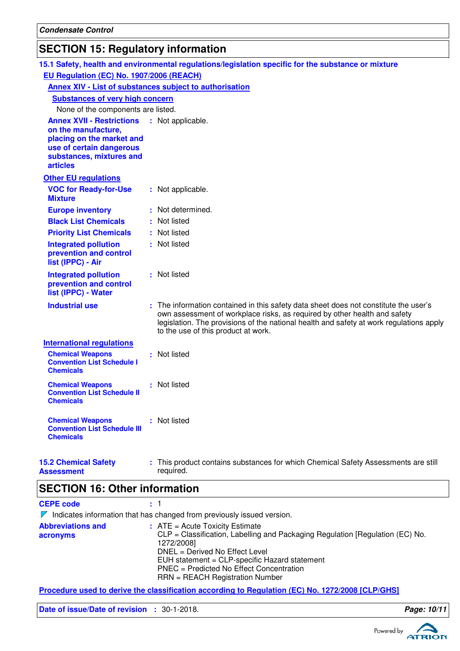## **SECTION 15: Regulatory information**

|                                                                                                                                                                 |                                        | 15.1 Safety, health and environmental regulations/legislation specific for the substance or mixture                                                                                                                                                                                                 |  |  |  |  |
|-----------------------------------------------------------------------------------------------------------------------------------------------------------------|----------------------------------------|-----------------------------------------------------------------------------------------------------------------------------------------------------------------------------------------------------------------------------------------------------------------------------------------------------|--|--|--|--|
| EU Regulation (EC) No. 1907/2006 (REACH)                                                                                                                        |                                        |                                                                                                                                                                                                                                                                                                     |  |  |  |  |
| Annex XIV - List of substances subject to authorisation                                                                                                         |                                        |                                                                                                                                                                                                                                                                                                     |  |  |  |  |
|                                                                                                                                                                 | <b>Substances of very high concern</b> |                                                                                                                                                                                                                                                                                                     |  |  |  |  |
| None of the components are listed.                                                                                                                              |                                        |                                                                                                                                                                                                                                                                                                     |  |  |  |  |
| <b>Annex XVII - Restrictions</b><br>on the manufacture,<br>placing on the market and<br>use of certain dangerous<br>substances, mixtures and<br><b>articles</b> |                                        | : Not applicable.                                                                                                                                                                                                                                                                                   |  |  |  |  |
| <b>Other EU regulations</b>                                                                                                                                     |                                        |                                                                                                                                                                                                                                                                                                     |  |  |  |  |
| <b>VOC for Ready-for-Use</b><br><b>Mixture</b>                                                                                                                  |                                        | : Not applicable.                                                                                                                                                                                                                                                                                   |  |  |  |  |
| <b>Europe inventory</b>                                                                                                                                         |                                        | : Not determined.                                                                                                                                                                                                                                                                                   |  |  |  |  |
| <b>Black List Chemicals</b>                                                                                                                                     |                                        | : Not listed                                                                                                                                                                                                                                                                                        |  |  |  |  |
| <b>Priority List Chemicals</b>                                                                                                                                  |                                        | : Not listed                                                                                                                                                                                                                                                                                        |  |  |  |  |
| <b>Integrated pollution</b><br>prevention and control<br>list (IPPC) - Air                                                                                      |                                        | : Not listed                                                                                                                                                                                                                                                                                        |  |  |  |  |
| <b>Integrated pollution</b><br>prevention and control<br>list (IPPC) - Water                                                                                    |                                        | : Not listed                                                                                                                                                                                                                                                                                        |  |  |  |  |
| <b>Industrial use</b>                                                                                                                                           |                                        | : The information contained in this safety data sheet does not constitute the user's<br>own assessment of workplace risks, as required by other health and safety<br>legislation. The provisions of the national health and safety at work regulations apply<br>to the use of this product at work. |  |  |  |  |
| <b>International regulations</b>                                                                                                                                |                                        |                                                                                                                                                                                                                                                                                                     |  |  |  |  |
| <b>Chemical Weapons</b><br><b>Convention List Schedule I</b><br><b>Chemicals</b>                                                                                |                                        | : Not listed                                                                                                                                                                                                                                                                                        |  |  |  |  |
| <b>Chemical Weapons</b><br><b>Convention List Schedule II</b><br><b>Chemicals</b>                                                                               |                                        | : Not listed                                                                                                                                                                                                                                                                                        |  |  |  |  |
| <b>Chemical Weapons</b><br><b>Convention List Schedule III</b><br><b>Chemicals</b>                                                                              |                                        | : Not listed                                                                                                                                                                                                                                                                                        |  |  |  |  |
| <b>15.2 Chemical Safety</b><br><b>Assessment</b>                                                                                                                |                                        | This product contains substances for which Chemical Safety Assessments are still<br>required.                                                                                                                                                                                                       |  |  |  |  |

### **SECTION 16: Other information**

**CEPE code :** 1

|                                      | $\triangleright$ Indicates information that has changed from previously issued version.                                                                                                                                                                                                                     |
|--------------------------------------|-------------------------------------------------------------------------------------------------------------------------------------------------------------------------------------------------------------------------------------------------------------------------------------------------------------|
| <b>Abbreviations and</b><br>acronyms | $\therefore$ ATE = Acute Toxicity Estimate<br>CLP = Classification, Labelling and Packaging Regulation [Regulation (EC) No.<br>1272/2008]<br>DNEL = Derived No Effect Level<br>EUH statement = CLP-specific Hazard statement<br>PNEC = Predicted No Effect Concentration<br>RRN = REACH Registration Number |

**Procedure used to derive the classification according to Regulation (EC) No. 1272/2008 [CLP/GHS]**

Date of issue/Date of revision : 30-1-2018. **Page: 10/11**